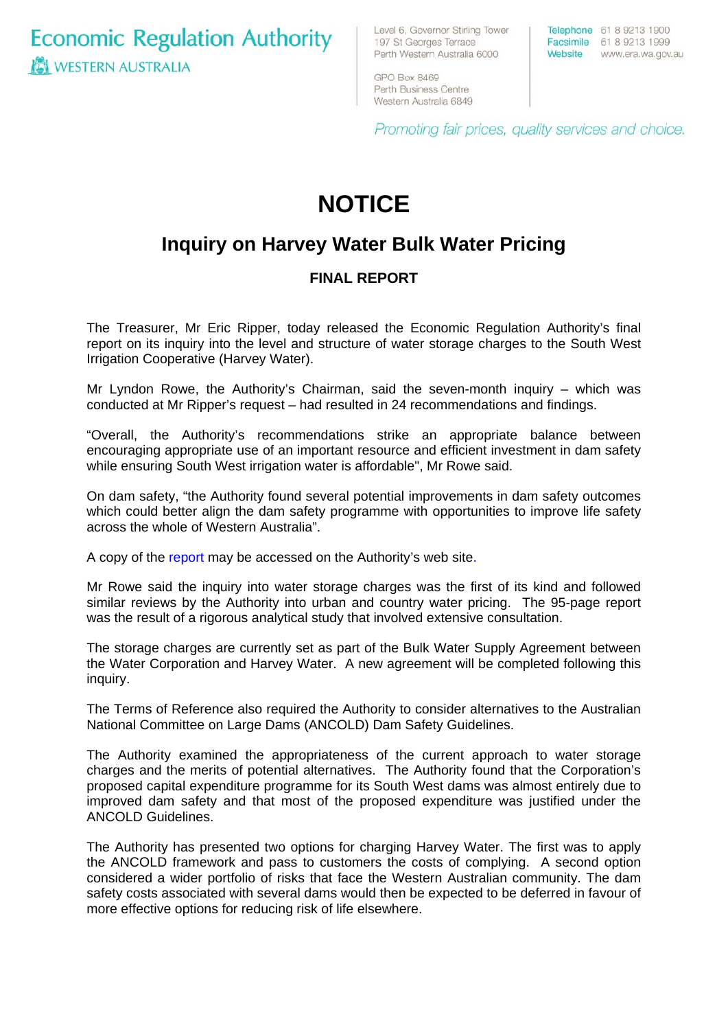**Economic Regulation Authority WESTERN AUSTRALIA** 

Level 6, Governor Stirling Tower 197 St Georges Terrace Perth Western Australia 6000

Telephone 61 8 9213 1900 Facsimile 61 8 9213 1999 Website www.era.wa.gov.au

GPO Box 8469 Perth Business Centre Western Australia 6849

Promoting fair prices, quality services and choice.

# **NOTICE**

## **Inquiry on Harvey Water Bulk Water Pricing**

## **FINAL REPORT**

The Treasurer, Mr Eric Ripper, today released the Economic Regulation Authority's final report on its inquiry into the level and structure of water storage charges to the South West Irrigation Cooperative (Harvey Water).

Mr Lyndon Rowe, the Authority's Chairman, said the seven-month inquiry – which was conducted at Mr Ripper's request – had resulted in 24 recommendations and findings.

"Overall, the Authority's recommendations strike an appropriate balance between encouraging appropriate use of an important resource and efficient investment in dam safety while ensuring South West irrigation water is affordable", Mr Rowe said.

On dam safety, "the Authority found several potential improvements in dam safety outcomes which could better align the dam safety programme with opportunities to improve life safety across the whole of Western Australia".

A copy of the [report](http://www.era.wa.gov.au/cproot/5588/24814/Harvey%20Water%20-%20ERA%20Final%20Report%202007.pdf) may be accessed on the Authority's web site.

Mr Rowe said the inquiry into water storage charges was the first of its kind and followed similar reviews by the Authority into urban and country water pricing. The 95-page report was the result of a rigorous analytical study that involved extensive consultation.

The storage charges are currently set as part of the Bulk Water Supply Agreement between the Water Corporation and Harvey Water. A new agreement will be completed following this inquiry.

The Terms of Reference also required the Authority to consider alternatives to the Australian National Committee on Large Dams (ANCOLD) Dam Safety Guidelines.

The Authority examined the appropriateness of the current approach to water storage charges and the merits of potential alternatives. The Authority found that the Corporation's proposed capital expenditure programme for its South West dams was almost entirely due to improved dam safety and that most of the proposed expenditure was justified under the ANCOLD Guidelines.

The Authority has presented two options for charging Harvey Water. The first was to apply the ANCOLD framework and pass to customers the costs of complying. A second option considered a wider portfolio of risks that face the Western Australian community. The dam safety costs associated with several dams would then be expected to be deferred in favour of more effective options for reducing risk of life elsewhere.